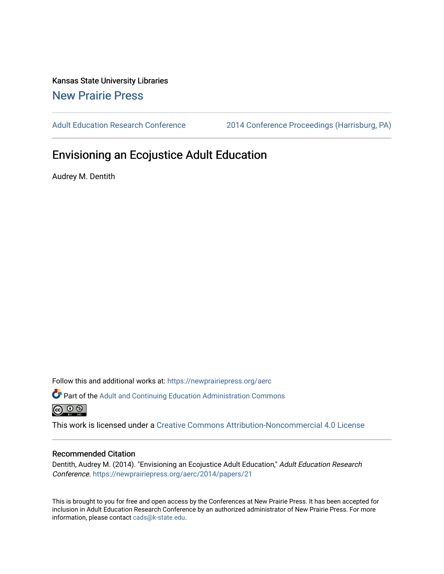Kansas State University Libraries [New Prairie Press](https://newprairiepress.org/) 

[Adult Education Research Conference](https://newprairiepress.org/aerc) [2014 Conference Proceedings \(Harrisburg, PA\)](https://newprairiepress.org/aerc/2014) 

# Envisioning an Ecojustice Adult Education

Audrey M. Dentith

Follow this and additional works at: [https://newprairiepress.org/aerc](https://newprairiepress.org/aerc?utm_source=newprairiepress.org%2Faerc%2F2014%2Fpapers%2F21&utm_medium=PDF&utm_campaign=PDFCoverPages)

Part of the [Adult and Continuing Education Administration Commons](http://network.bepress.com/hgg/discipline/789?utm_source=newprairiepress.org%2Faerc%2F2014%2Fpapers%2F21&utm_medium=PDF&utm_campaign=PDFCoverPages)  $\circledcirc$   $\circledcirc$ 

This work is licensed under a [Creative Commons Attribution-Noncommercial 4.0 License](https://creativecommons.org/licenses/by-nc/4.0/)

## Recommended Citation

Dentith, Audrey M. (2014). "Envisioning an Ecojustice Adult Education," Adult Education Research Conference.<https://newprairiepress.org/aerc/2014/papers/21>

This is brought to you for free and open access by the Conferences at New Prairie Press. It has been accepted for inclusion in Adult Education Research Conference by an authorized administrator of New Prairie Press. For more information, please contact [cads@k-state.edu](mailto:cads@k-state.edu).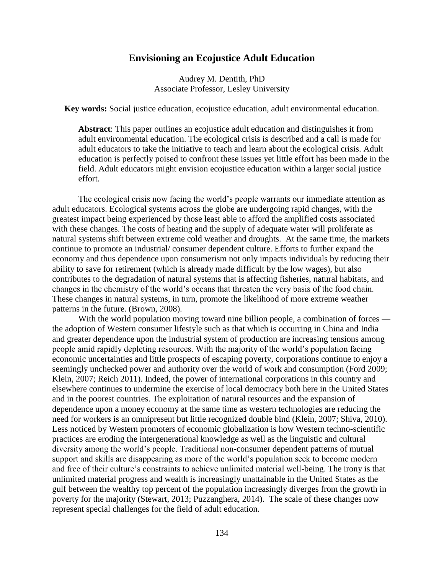## **Envisioning an Ecojustice Adult Education**

Audrey M. Dentith, PhD Associate Professor, Lesley University

**Key words:** Social justice education, ecojustice education, adult environmental education.

**Abstract**: This paper outlines an ecojustice adult education and distinguishes it from adult environmental education. The ecological crisis is described and a call is made for adult educators to take the initiative to teach and learn about the ecological crisis. Adult education is perfectly poised to confront these issues yet little effort has been made in the field. Adult educators might envision ecojustice education within a larger social justice effort.

The ecological crisis now facing the world's people warrants our immediate attention as adult educators. Ecological systems across the globe are undergoing rapid changes, with the greatest impact being experienced by those least able to afford the amplified costs associated with these changes. The costs of heating and the supply of adequate water will proliferate as natural systems shift between extreme cold weather and droughts. At the same time, the markets continue to promote an industrial/ consumer dependent culture. Efforts to further expand the economy and thus dependence upon consumerism not only impacts individuals by reducing their ability to save for retirement (which is already made difficult by the low wages), but also contributes to the degradation of natural systems that is affecting fisheries, natural habitats, and changes in the chemistry of the world's oceans that threaten the very basis of the food chain. These changes in natural systems, in turn, promote the likelihood of more extreme weather patterns in the future. (Brown, 2008).

With the world population moving toward nine billion people, a combination of forces the adoption of Western consumer lifestyle such as that which is occurring in China and India and greater dependence upon the industrial system of production are increasing tensions among people amid rapidly depleting resources. With the majority of the world's population facing economic uncertainties and little prospects of escaping poverty, corporations continue to enjoy a seemingly unchecked power and authority over the world of work and consumption (Ford 2009; Klein, 2007; Reich 2011). Indeed, the power of international corporations in this country and elsewhere continues to undermine the exercise of local democracy both here in the United States and in the poorest countries. The exploitation of natural resources and the expansion of dependence upon a money economy at the same time as western technologies are reducing the need for workers is an omnipresent but little recognized double bind (Klein, 2007; Shiva, 2010). Less noticed by Western promoters of economic globalization is how Western techno-scientific practices are eroding the intergenerational knowledge as well as the linguistic and cultural diversity among the world's people. Traditional non-consumer dependent patterns of mutual support and skills are disappearing as more of the world's population seek to become modern and free of their culture's constraints to achieve unlimited material well-being. The irony is that unlimited material progress and wealth is increasingly unattainable in the United States as the gulf between the wealthy top percent of the population increasingly diverges from the growth in poverty for the majority (Stewart, 2013; Puzzanghera, 2014). The scale of these changes now represent special challenges for the field of adult education.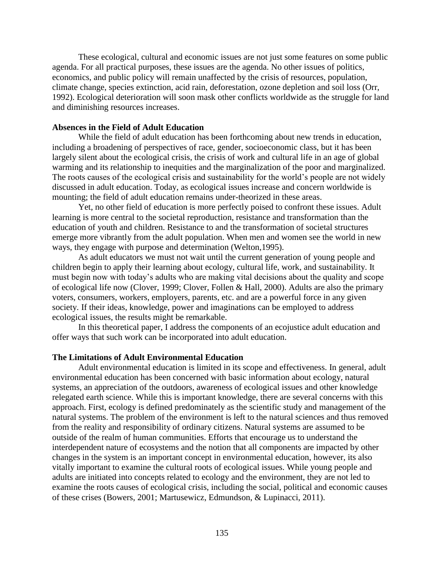These ecological, cultural and economic issues are not just some features on some public agenda. For all practical purposes, these issues are the agenda. No other issues of politics, economics, and public policy will remain unaffected by the crisis of resources, population, climate change, species extinction, acid rain, deforestation, ozone depletion and soil loss (Orr, 1992). Ecological deterioration will soon mask other conflicts worldwide as the struggle for land and diminishing resources increases.

## **Absences in the Field of Adult Education**

While the field of adult education has been forthcoming about new trends in education, including a broadening of perspectives of race, gender, socioeconomic class, but it has been largely silent about the ecological crisis, the crisis of work and cultural life in an age of global warming and its relationship to inequities and the marginalization of the poor and marginalized. The roots causes of the ecological crisis and sustainability for the world's people are not widely discussed in adult education. Today, as ecological issues increase and concern worldwide is mounting; the field of adult education remains under-theorized in these areas.

Yet, no other field of education is more perfectly poised to confront these issues. Adult learning is more central to the societal reproduction, resistance and transformation than the education of youth and children. Resistance to and the transformation of societal structures emerge more vibrantly from the adult population. When men and women see the world in new ways, they engage with purpose and determination (Welton,1995).

As adult educators we must not wait until the current generation of young people and children begin to apply their learning about ecology, cultural life, work, and sustainability. It must begin now with today's adults who are making vital decisions about the quality and scope of ecological life now (Clover, 1999; Clover, Follen & Hall, 2000). Adults are also the primary voters, consumers, workers, employers, parents, etc. and are a powerful force in any given society. If their ideas, knowledge, power and imaginations can be employed to address ecological issues, the results might be remarkable.

In this theoretical paper, I address the components of an ecojustice adult education and offer ways that such work can be incorporated into adult education.

### **The Limitations of Adult Environmental Education**

Adult environmental education is limited in its scope and effectiveness. In general, adult environmental education has been concerned with basic information about ecology, natural systems, an appreciation of the outdoors, awareness of ecological issues and other knowledge relegated earth science. While this is important knowledge, there are several concerns with this approach. First, ecology is defined predominately as the scientific study and management of the natural systems. The problem of the environment is left to the natural sciences and thus removed from the reality and responsibility of ordinary citizens. Natural systems are assumed to be outside of the realm of human communities. Efforts that encourage us to understand the interdependent nature of ecosystems and the notion that all components are impacted by other changes in the system is an important concept in environmental education, however, its also vitally important to examine the cultural roots of ecological issues. While young people and adults are initiated into concepts related to ecology and the environment, they are not led to examine the roots causes of ecological crisis, including the social, political and economic causes of these crises (Bowers, 2001; Martusewicz, Edmundson, & Lupinacci, 2011).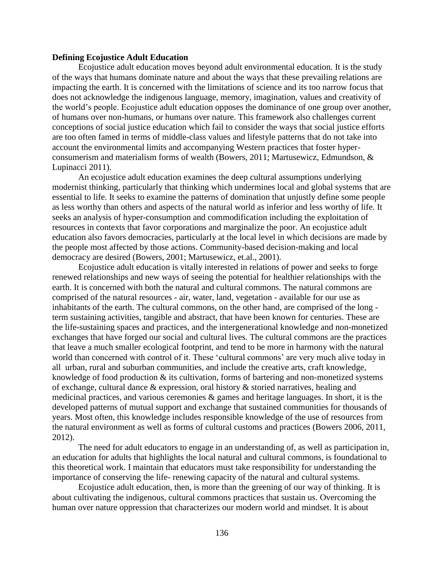#### **Defining Ecojustice Adult Education**

Ecojustice adult education moves beyond adult environmental education. It is the study of the ways that humans dominate nature and about the ways that these prevailing relations are impacting the earth. It is concerned with the limitations of science and its too narrow focus that does not acknowledge the indigenous language, memory, imagination, values and creativity of the world's people. Ecojustice adult education opposes the dominance of one group over another, of humans over non-humans, or humans over nature. This framework also challenges current conceptions of social justice education which fail to consider the ways that social justice efforts are too often famed in terms of middle-class values and lifestyle patterns that do not take into account the environmental limits and accompanying Western practices that foster hyperconsumerism and materialism forms of wealth (Bowers, 2011; Martusewicz, Edmundson, & Lupinacci 2011).

An ecojustice adult education examines the deep cultural assumptions underlying modernist thinking, particularly that thinking which undermines local and global systems that are essential to life. It seeks to examine the patterns of domination that unjustly define some people as less worthy than others and aspects of the natural world as inferior and less worthy of life. It seeks an analysis of hyper-consumption and commodification including the exploitation of resources in contexts that favor corporations and marginalize the poor. An ecojustice adult education also favors democracies, particularly at the local level in which decisions are made by the people most affected by those actions. Community-based decision-making and local democracy are desired (Bowers, 2001; Martusewicz, et.al., 2001).

Ecojustice adult education is vitally interested in relations of power and seeks to forge renewed relationships and new ways of seeing the potential for healthier relationships with the earth. It is concerned with both the natural and cultural commons. The natural commons are comprised of the natural resources - air, water, land, vegetation - available for our use as inhabitants of the earth. The cultural commons, on the other hand, are comprised of the long term sustaining activities, tangible and abstract, that have been known for centuries. These are the life-sustaining spaces and practices, and the intergenerational knowledge and non-monetized exchanges that have forged our social and cultural lives. The cultural commons are the practices that leave a much smaller ecological footprint, and tend to be more in harmony with the natural world than concerned with control of it. These 'cultural commons' are very much alive today in all urban, rural and suburban communities, and include the creative arts, craft knowledge, knowledge of food production & its cultivation, forms of bartering and non-monetized systems of exchange, cultural dance & expression, oral history & storied narratives, healing and medicinal practices, and various ceremonies & games and heritage languages. In short, it is the developed patterns of mutual support and exchange that sustained communities for thousands of years. Most often, this knowledge includes responsible knowledge of the use of resources from the natural environment as well as forms of cultural customs and practices (Bowers 2006, 2011, 2012).

The need for adult educators to engage in an understanding of, as well as participation in, an education for adults that highlights the local natural and cultural commons, is foundational to this theoretical work. I maintain that educators must take responsibility for understanding the importance of conserving the life- renewing capacity of the natural and cultural systems.

Ecojustice adult education, then, is more than the greening of our way of thinking. It is about cultivating the indigenous, cultural commons practices that sustain us. Overcoming the human over nature oppression that characterizes our modern world and mindset. It is about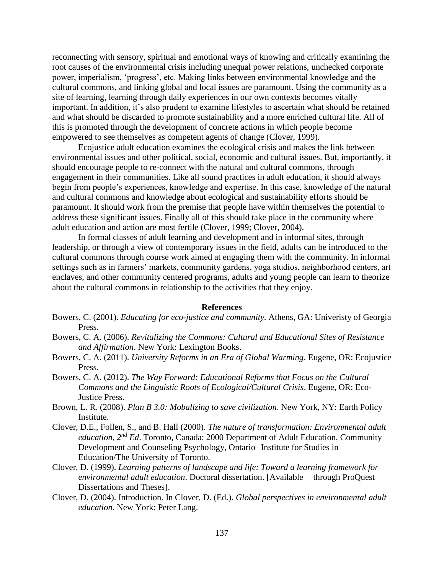reconnecting with sensory, spiritual and emotional ways of knowing and critically examining the root causes of the environmental crisis including unequal power relations, unchecked corporate power, imperialism, 'progress', etc. Making links between environmental knowledge and the cultural commons, and linking global and local issues are paramount. Using the community as a site of learning, learning through daily experiences in our own contexts becomes vitally important. In addition, it's also prudent to examine lifestyles to ascertain what should be retained and what should be discarded to promote sustainability and a more enriched cultural life. All of this is promoted through the development of concrete actions in which people become empowered to see themselves as competent agents of change (Clover, 1999).

Ecojustice adult education examines the ecological crisis and makes the link between environmental issues and other political, social, economic and cultural issues. But, importantly, it should encourage people to re-connect with the natural and cultural commons, through engagement in their communities. Like all sound practices in adult education, it should always begin from people's experiences, knowledge and expertise. In this case, knowledge of the natural and cultural commons and knowledge about ecological and sustainability efforts should be paramount. It should work from the premise that people have within themselves the potential to address these significant issues. Finally all of this should take place in the community where adult education and action are most fertile (Clover, 1999; Clover, 2004).

In formal classes of adult learning and development and in informal sites, through leadership, or through a view of contemporary issues in the field, adults can be introduced to the cultural commons through course work aimed at engaging them with the community. In informal settings such as in farmers' markets, community gardens, yoga studios, neighborhood centers, art enclaves, and other community centered programs, adults and young people can learn to theorize about the cultural commons in relationship to the activities that they enjoy.

#### **References**

- Bowers, C. (2001). *Educating for eco-justice and community.* Athens, GA: Univeristy of Georgia Press.
- Bowers, C. A. (2006). *Revitalizing the Commons: Cultural and Educational Sites of Resistance and Affirmation*. New York: Lexington Books.
- Bowers, C. A. (2011). *University Reforms in an Era of Global Warming*. Eugene, OR: Ecojustice Press.
- Bowers, C. A. (2012). *The Way Forward: Educational Reforms that Focus on the Cultural Commons and the Linguistic Roots of Ecological/Cultural Crisis*. Eugene, OR: Eco-Justice Press.
- Brown, L. R. (2008). *Plan B 3.0: Mobalizing to save civilization*. New York, NY: Earth Policy Institute.
- Clover, D.E., Follen, S., and B. Hall (2000). *The nature of transformation: Environmental adult education, 2nd Ed*. Toronto, Canada: 2000 Department of Adult Education, Community Development and Counseling Psychology, Ontario Institute for Studies in Education/The University of Toronto.
- Clover, D. (1999). *Learning patterns of landscape and life: Toward a learning framework for environmental adult education*. Doctoral dissertation. [Available through ProQuest Dissertations and Theses].
- Clover, D. (2004). Introduction. In Clover, D. (Ed.). *Global perspectives in environmental adult education*. New York: Peter Lang.